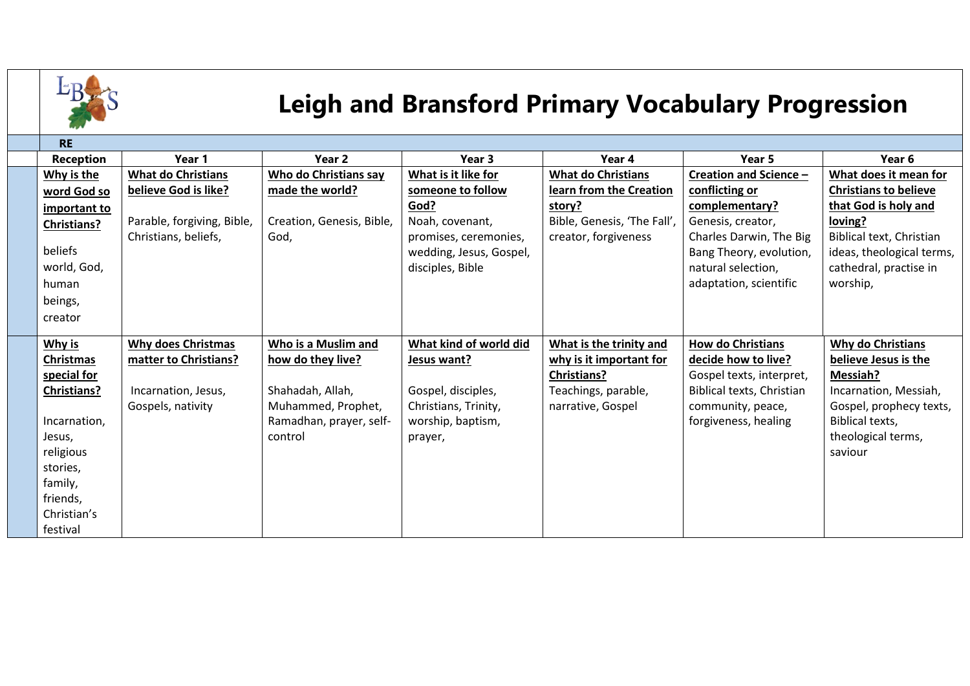

## **Leigh and Bransford Primary Vocabulary Progression**

| <b>RE</b>          |                            |                              |                         |                             |                           |                              |
|--------------------|----------------------------|------------------------------|-------------------------|-----------------------------|---------------------------|------------------------------|
| <b>Reception</b>   | Year 1                     | Year <sub>2</sub>            | Year <sub>3</sub>       | Year 4                      | Year 5                    | Year 6                       |
| Why is the         | <b>What do Christians</b>  | <b>Who do Christians say</b> | What is it like for     | <b>What do Christians</b>   | Creation and Science -    | What does it mean for        |
| word God so        | believe God is like?       | made the world?              | someone to follow       | learn from the Creation     | conflicting or            | <b>Christians to believe</b> |
| important to       |                            |                              | God?                    | story?                      | complementary?            | that God is holy and         |
| <b>Christians?</b> | Parable, forgiving, Bible, | Creation, Genesis, Bible,    | Noah, covenant,         | Bible, Genesis, 'The Fall', | Genesis, creator,         | loving?                      |
|                    | Christians, beliefs,       | God,                         | promises, ceremonies,   | creator, forgiveness        | Charles Darwin, The Big   | Biblical text, Christian     |
| beliefs            |                            |                              | wedding, Jesus, Gospel, |                             | Bang Theory, evolution,   | ideas, theological terms,    |
| world, God,        |                            |                              | disciples, Bible        |                             | natural selection,        | cathedral, practise in       |
| human              |                            |                              |                         |                             | adaptation, scientific    | worship,                     |
| beings,            |                            |                              |                         |                             |                           |                              |
| creator            |                            |                              |                         |                             |                           |                              |
|                    |                            |                              |                         |                             |                           |                              |
| Why is             | <b>Why does Christmas</b>  | Who is a Muslim and          | What kind of world did  | What is the trinity and     | <b>How do Christians</b>  | <b>Why do Christians</b>     |
| Christmas          | matter to Christians?      | how do they live?            | Jesus want?             | why is it important for     | decide how to live?       | believe Jesus is the         |
| special for        |                            |                              |                         | <b>Christians?</b>          | Gospel texts, interpret,  | Messiah?                     |
| <b>Christians?</b> | Incarnation, Jesus,        | Shahadah, Allah,             | Gospel, disciples,      | Teachings, parable,         | Biblical texts, Christian | Incarnation, Messiah,        |
|                    | Gospels, nativity          | Muhammed, Prophet,           | Christians, Trinity,    | narrative, Gospel           | community, peace,         | Gospel, prophecy texts,      |
| Incarnation,       |                            | Ramadhan, prayer, self-      | worship, baptism,       |                             | forgiveness, healing      | Biblical texts,              |
| Jesus,             |                            | control                      | prayer,                 |                             |                           | theological terms,           |
| religious          |                            |                              |                         |                             |                           | saviour                      |
| stories,           |                            |                              |                         |                             |                           |                              |
| family,            |                            |                              |                         |                             |                           |                              |
| friends,           |                            |                              |                         |                             |                           |                              |
| Christian's        |                            |                              |                         |                             |                           |                              |
| festival           |                            |                              |                         |                             |                           |                              |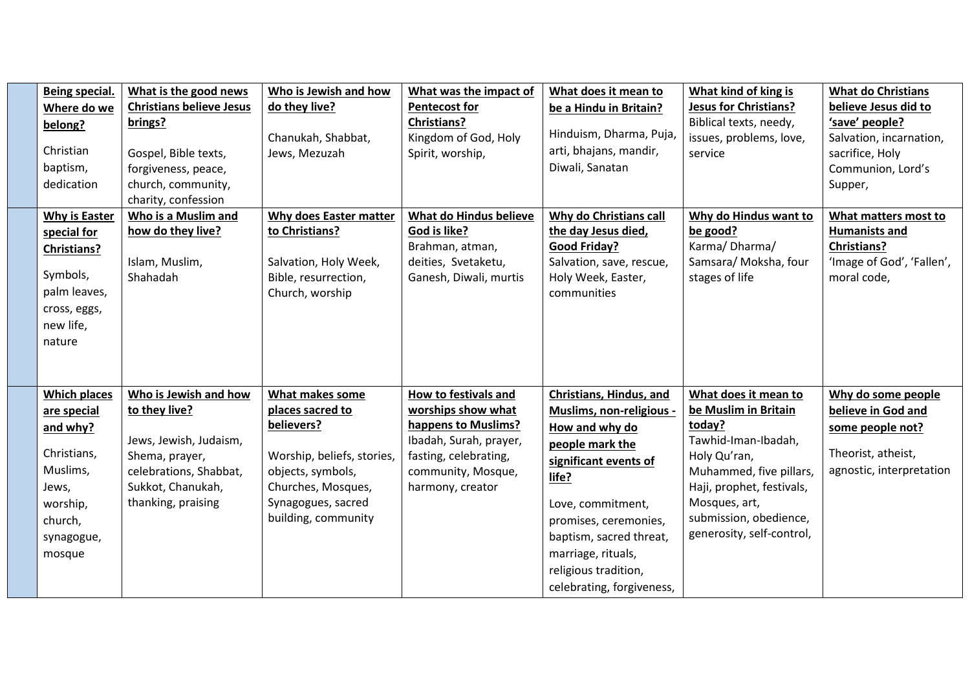| Being special.<br>Where do we<br>belong?<br>Christian<br>baptism,<br>dedication                                                   | What is the good news<br><b>Christians believe Jesus</b><br>brings?<br>Gospel, Bible texts,<br>forgiveness, peace,<br>church, community,<br>charity, confession | Who is Jewish and how<br>do they live?<br>Chanukah, Shabbat,<br>Jews, Mezuzah                                                                                           | What was the impact of<br><b>Pentecost for</b><br><b>Christians?</b><br>Kingdom of God, Holy<br>Spirit, worship,                                               | What does it mean to<br>be a Hindu in Britain?<br>Hinduism, Dharma, Puja,<br>arti, bhajans, mandir,<br>Diwali, Sanatan                                                                                                                                                         | What kind of king is<br><b>Jesus for Christians?</b><br>Biblical texts, needy,<br>issues, problems, love,<br>service                                                                                                          | <b>What do Christians</b><br>believe Jesus did to<br>'save' people?<br>Salvation, incarnation,<br>sacrifice, Holy<br>Communion, Lord's<br>Supper, |
|-----------------------------------------------------------------------------------------------------------------------------------|-----------------------------------------------------------------------------------------------------------------------------------------------------------------|-------------------------------------------------------------------------------------------------------------------------------------------------------------------------|----------------------------------------------------------------------------------------------------------------------------------------------------------------|--------------------------------------------------------------------------------------------------------------------------------------------------------------------------------------------------------------------------------------------------------------------------------|-------------------------------------------------------------------------------------------------------------------------------------------------------------------------------------------------------------------------------|---------------------------------------------------------------------------------------------------------------------------------------------------|
| <b>Why is Easter</b><br>special for<br><b>Christians?</b><br>Symbols,<br>palm leaves,<br>cross, eggs,<br>new life,<br>nature      | Who is a Muslim and<br>how do they live?<br>Islam, Muslim,<br>Shahadah                                                                                          | Why does Easter matter<br>to Christians?<br>Salvation, Holy Week,<br>Bible, resurrection,<br>Church, worship                                                            | What do Hindus believe<br>God is like?<br>Brahman, atman,<br>deities, Svetaketu,<br>Ganesh, Diwali, murtis                                                     | Why do Christians call<br>the day Jesus died,<br><b>Good Friday?</b><br>Salvation, save, rescue,<br>Holy Week, Easter,<br>communities                                                                                                                                          | Why do Hindus want to<br>be good?<br>Karma/Dharma/<br>Samsara/ Moksha, four<br>stages of life                                                                                                                                 | What matters most to<br><b>Humanists and</b><br><b>Christians?</b><br>'Image of God', 'Fallen',<br>moral code,                                    |
| <b>Which places</b><br>are special<br>and why?<br>Christians,<br>Muslims,<br>Jews,<br>worship,<br>church,<br>synagogue,<br>mosque | Who is Jewish and how<br>to they live?<br>Jews, Jewish, Judaism,<br>Shema, prayer,<br>celebrations, Shabbat,<br>Sukkot, Chanukah,<br>thanking, praising         | What makes some<br>places sacred to<br>believers?<br>Worship, beliefs, stories,<br>objects, symbols,<br>Churches, Mosques,<br>Synagogues, sacred<br>building, community | How to festivals and<br>worships show what<br>happens to Muslims?<br>Ibadah, Surah, prayer,<br>fasting, celebrating,<br>community, Mosque,<br>harmony, creator | Christians, Hindus, and<br>Muslims, non-religious -<br>How and why do<br>people mark the<br>significant events of<br>life?<br>Love, commitment,<br>promises, ceremonies,<br>baptism, sacred threat,<br>marriage, rituals,<br>religious tradition,<br>celebrating, forgiveness, | What does it mean to<br>be Muslim in Britain<br>today?<br>Tawhid-Iman-Ibadah,<br>Holy Qu'ran,<br>Muhammed, five pillars,<br>Haji, prophet, festivals,<br>Mosques, art,<br>submission, obedience,<br>generosity, self-control, | Why do some people<br>believe in God and<br>some people not?<br>Theorist, atheist,<br>agnostic, interpretation                                    |